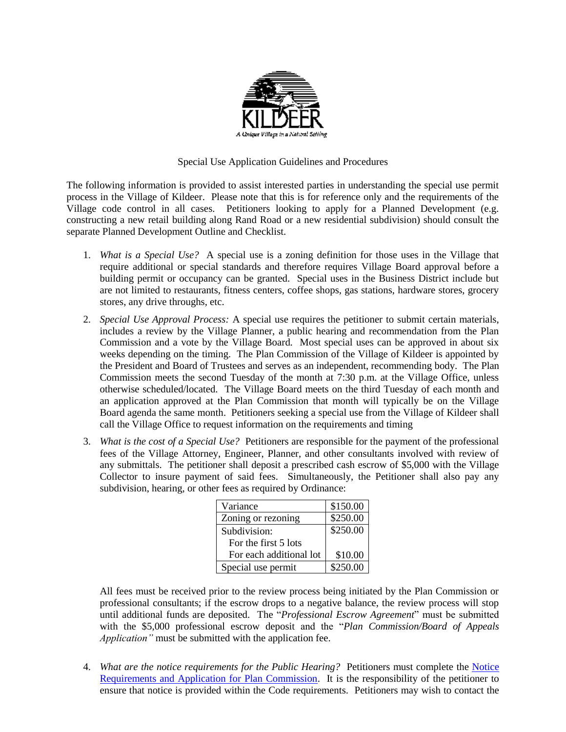

## Special Use Application Guidelines and Procedures

The following information is provided to assist interested parties in understanding the special use permit process in the Village of Kildeer. Please note that this is for reference only and the requirements of the Village code control in all cases. Petitioners looking to apply for a Planned Development (e.g. constructing a new retail building along Rand Road or a new residential subdivision) should consult the separate Planned Development Outline and Checklist.

- 1. *What is a Special Use?* A special use is a zoning definition for those uses in the Village that require additional or special standards and therefore requires Village Board approval before a building permit or occupancy can be granted. Special uses in the Business District include but are not limited to restaurants, fitness centers, coffee shops, gas stations, hardware stores, grocery stores, any drive throughs, etc.
- 2. *Special Use Approval Process:* A special use requires the petitioner to submit certain materials, includes a review by the Village Planner, a public hearing and recommendation from the Plan Commission and a vote by the Village Board. Most special uses can be approved in about six weeks depending on the timing. The Plan Commission of the Village of Kildeer is appointed by the President and Board of Trustees and serves as an independent, recommending body. The Plan Commission meets the second Tuesday of the month at 7:30 p.m. at the Village Office, unless otherwise scheduled/located. The Village Board meets on the third Tuesday of each month and an application approved at the Plan Commission that month will typically be on the Village Board agenda the same month. Petitioners seeking a special use from the Village of Kildeer shall call the Village Office to request information on the requirements and timing
- 3. *What is the cost of a Special Use?* Petitioners are responsible for the payment of the professional fees of the Village Attorney, Engineer, Planner, and other consultants involved with review of any submittals. The petitioner shall deposit a prescribed cash escrow of \$5,000 with the Village Collector to insure payment of said fees. Simultaneously, the Petitioner shall also pay any subdivision, hearing, or other fees as required by Ordinance:

| Variance                | \$150.00 |
|-------------------------|----------|
| Zoning or rezoning      | \$250.00 |
| Subdivision:            | \$250.00 |
| For the first 5 lots    |          |
| For each additional lot | \$10.00  |
| Special use permit      | \$250.00 |

All fees must be received prior to the review process being initiated by the Plan Commission or professional consultants; if the escrow drops to a negative balance, the review process will stop until additional funds are deposited. The "*Professional Escrow Agreement*" must be submitted with the \$5,000 professional escrow deposit and the "*Plan Commission/Board of Appeals Application"* must be submitted with the application fee.

4. *What are the notice requirements for the Public Hearing?* Petitioners must complete the **Notice** [Requirements and Application for Plan Commission.](http://villageofkildeer.com/wp-content/uploads/15-7-2-General-Plan-Commission-Application-Notice.pdf) It is the responsibility of the petitioner to ensure that notice is provided within the Code requirements. Petitioners may wish to contact the